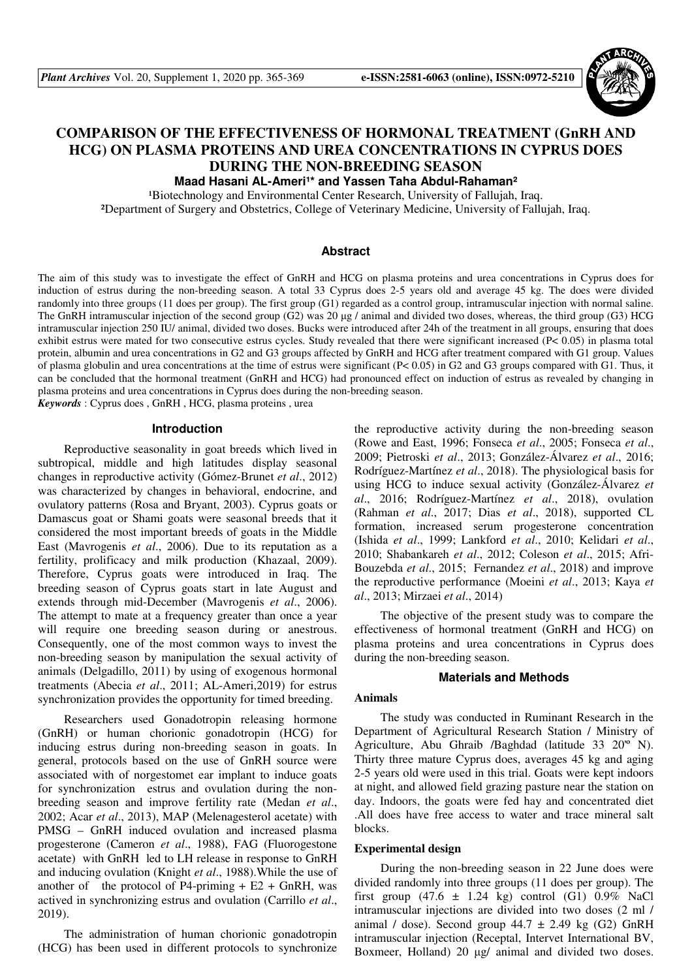

# **COMPARISON OF THE EFFECTIVENESS OF HORMONAL TREATMENT (GnRH AND HCG) ON PLASMA PROTEINS AND UREA CONCENTRATIONS IN CYPRUS DOES DURING THE NON-BREEDING SEASON**

Maad Hasani AL-Ameri<sup>1\*</sup> and Yassen Taha Abdul-Rahaman<sup>2</sup>

<sup>1</sup>Biotechnology and Environmental Center Research, University of Fallujah, Iraq.

²Department of Surgery and Obstetrics, College of Veterinary Medicine, University of Fallujah, Iraq.

## **Abstract**

The aim of this study was to investigate the effect of GnRH and HCG on plasma proteins and urea concentrations in Cyprus does for induction of estrus during the non-breeding season. A total 33 Cyprus does 2-5 years old and average 45 kg. The does were divided randomly into three groups (11 does per group). The first group (G1) regarded as a control group, intramuscular injection with normal saline. The GnRH intramuscular injection of the second group (G2) was 20  $\mu$ g / animal and divided two doses, whereas, the third group (G3) HCG intramuscular injection 250 IU/ animal, divided two doses. Bucks were introduced after 24h of the treatment in all groups, ensuring that does exhibit estrus were mated for two consecutive estrus cycles. Study revealed that there were significant increased (P< 0.05) in plasma total protein, albumin and urea concentrations in G2 and G3 groups affected by GnRH and HCG after treatment compared with G1 group. Values of plasma globulin and urea concentrations at the time of estrus were significant (P< 0.05) in G2 and G3 groups compared with G1. Thus, it can be concluded that the hormonal treatment (GnRH and HCG) had pronounced effect on induction of estrus as revealed by changing in plasma proteins and urea concentrations in Cyprus does during the non-breeding season.

*Keywords* : Cyprus does , GnRH , HCG, plasma proteins , urea

#### **Introduction**

Reproductive seasonality in goat breeds which lived in subtropical, middle and high latitudes display seasonal changes in reproductive activity (Gómez-Brunet *et al*., 2012) was characterized by changes in behavioral, endocrine, and ovulatory patterns (Rosa and Bryant, 2003). Cyprus goats or Damascus goat or Shami goats were seasonal breeds that it considered the most important breeds of goats in the Middle East (Mavrogenis *et al*., 2006). Due to its reputation as a fertility, prolificacy and milk production (Khazaal, 2009). Therefore, Cyprus goats were introduced in Iraq. The breeding season of Cyprus goats start in late August and extends through mid-December (Mavrogenis *et al*., 2006). The attempt to mate at a frequency greater than once a year will require one breeding season during or anestrous. Consequently, one of the most common ways to invest the non-breeding season by manipulation the sexual activity of animals (Delgadillo, 2011) by using of exogenous hormonal treatments (Abecia *et al*., 2011; AL-Ameri,2019) for estrus synchronization provides the opportunity for timed breeding.

Researchers used Gonadotropin releasing hormone (GnRH) or human chorionic gonadotropin (HCG) for inducing estrus during non-breeding season in goats. In general, protocols based on the use of GnRH source were associated with of norgestomet ear implant to induce goats for synchronization estrus and ovulation during the nonbreeding season and improve fertility rate (Medan *et al*., 2002; Acar *et al*., 2013), MAP (Melenagesterol acetate) with PMSG – GnRH induced ovulation and increased plasma progesterone (Cameron *et al*., 1988), FAG (Fluorogestone acetate) with GnRH led to LH release in response to GnRH and inducing ovulation (Knight *et al*., 1988).While the use of another of the protocol of P4-priming  $+ E2 + GnRH$ , was actived in synchronizing estrus and ovulation (Carrillo *et al*., 2019).

The administration of human chorionic gonadotropin (HCG) has been used in different protocols to synchronize

the reproductive activity during the non-breeding season (Rowe and East, 1996; Fonseca *et al*., 2005; Fonseca *et al*., 2009; Pietroski *et al*., 2013; González-Álvarez *et al*., 2016; Rodríguez-Martínez *et al*., 2018). The physiological basis for using HCG to induce sexual activity (González-Álvarez *et al*., 2016; Rodríguez-Martínez *et al*., 2018), ovulation (Rahman *et al*., 2017; Dias *et al*., 2018), supported CL formation, increased serum progesterone concentration (Ishida *et al*., 1999; Lankford *et al*., 2010; Kelidari *et al*., 2010; Shabankareh *et al*., 2012; Coleson *et al*., 2015; Afri-Bouzebda *et al*., 2015; Fernandez *et al*., 2018) and improve the reproductive performance (Moeini *et al*., 2013; Kaya *et al*., 2013; Mirzaei *et al*., 2014)

The objective of the present study was to compare the effectiveness of hormonal treatment (GnRH and HCG) on plasma proteins and urea concentrations in Cyprus does during the non-breeding season.

#### **Materials and Methods**

#### **Animals**

The study was conducted in Ruminant Research in the Department of Agricultural Research Station / Ministry of Agriculture, Abu Ghraib /Baghdad (latitude 33 20'º N). Thirty three mature Cyprus does, averages 45 kg and aging 2-5 years old were used in this trial. Goats were kept indoors at night, and allowed field grazing pasture near the station on day. Indoors, the goats were fed hay and concentrated diet .All does have free access to water and trace mineral salt blocks.

#### **Experimental design**

During the non-breeding season in 22 June does were divided randomly into three groups (11 does per group). The first group  $(47.6 \pm 1.24 \text{ kg})$  control  $(G1)$  0.9% NaCl intramuscular injections are divided into two doses (2 ml / animal / dose). Second group  $44.7 \pm 2.49$  kg (G2) GnRH intramuscular injection (Receptal, Intervet International BV, Boxmeer, Holland) 20 µg/ animal and divided two doses.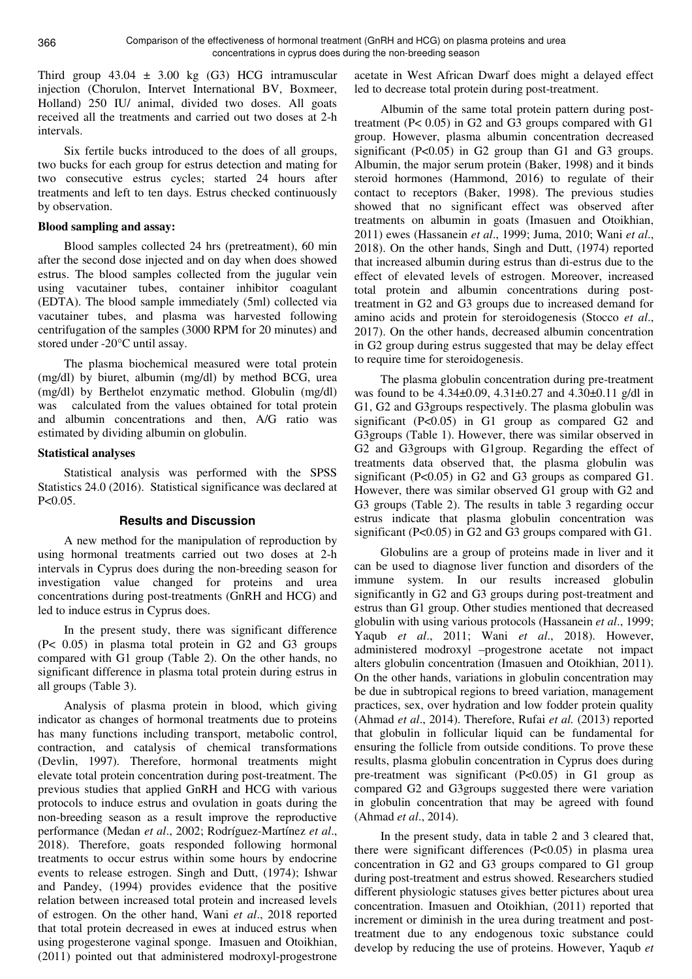Third group  $43.04 \pm 3.00$  kg (G3) HCG intramuscular injection (Chorulon, Intervet International BV, Boxmeer, Holland) 250 IU/ animal, divided two doses. All goats received all the treatments and carried out two doses at 2-h intervals.

Six fertile bucks introduced to the does of all groups, two bucks for each group for estrus detection and mating for two consecutive estrus cycles; started 24 hours after treatments and left to ten days. Estrus checked continuously by observation.

## **Blood sampling and assay:**

Blood samples collected 24 hrs (pretreatment), 60 min after the second dose injected and on day when does showed estrus. The blood samples collected from the jugular vein using vacutainer tubes, container inhibitor coagulant (EDTA). The blood sample immediately (5ml) collected via vacutainer tubes, and plasma was harvested following centrifugation of the samples (3000 RPM for 20 minutes) and stored under -20°C until assay.

The plasma biochemical measured were total protein (mg/dl) by biuret, albumin (mg/dl) by method BCG, urea (mg/dl) by Berthelot enzymatic method. Globulin (mg/dl) was calculated from the values obtained for total protein and albumin concentrations and then, A/G ratio was estimated by dividing albumin on globulin.

# **Statistical analyses**

Statistical analysis was performed with the SPSS Statistics 24.0 (2016). Statistical significance was declared at P<0.05.

# **Results and Discussion**

A new method for the manipulation of reproduction by using hormonal treatments carried out two doses at 2-h intervals in Cyprus does during the non-breeding season for investigation value changed for proteins and urea concentrations during post-treatments (GnRH and HCG) and led to induce estrus in Cyprus does.

In the present study, there was significant difference (P< 0.05) in plasma total protein in G2 and G3 groups compared with G1 group (Table 2). On the other hands, no significant difference in plasma total protein during estrus in all groups (Table 3).

Analysis of plasma protein in blood, which giving indicator as changes of hormonal treatments due to proteins has many functions including transport, metabolic control, contraction, and catalysis of chemical transformations (Devlin, 1997). Therefore, hormonal treatments might elevate total protein concentration during post-treatment. The previous studies that applied GnRH and HCG with various protocols to induce estrus and ovulation in goats during the non-breeding season as a result improve the reproductive performance (Medan *et al*., 2002; Rodríguez-Martínez *et al*., 2018). Therefore, goats responded following hormonal treatments to occur estrus within some hours by endocrine events to release estrogen. Singh and Dutt, (1974); Ishwar and Pandey, (1994) provides evidence that the positive relation between increased total protein and increased levels of estrogen. On the other hand, Wani *et al*., 2018 reported that total protein decreased in ewes at induced estrus when using progesterone vaginal sponge. Imasuen and Otoikhian, (2011) pointed out that administered modroxyl-progestrone

acetate in West African Dwarf does might a delayed effect led to decrease total protein during post-treatment.

Albumin of the same total protein pattern during posttreatment (P< 0.05) in G2 and G3 groups compared with G1 group. However, plasma albumin concentration decreased significant (P<0.05) in G2 group than G1 and G3 groups. Albumin, the major serum protein (Baker, 1998) and it binds steroid hormones (Hammond, 2016) to regulate of their contact to receptors (Baker, 1998). The previous studies showed that no significant effect was observed after treatments on albumin in goats (Imasuen and Otoikhian, 2011) ewes (Hassanein *et al*., 1999; Juma, 2010; Wani *et al*., 2018). On the other hands, Singh and Dutt, (1974) reported that increased albumin during estrus than di-estrus due to the effect of elevated levels of estrogen. Moreover, increased total protein and albumin concentrations during posttreatment in G2 and G3 groups due to increased demand for amino acids and protein for steroidogenesis (Stocco *et al*., 2017). On the other hands, decreased albumin concentration in G2 group during estrus suggested that may be delay effect to require time for steroidogenesis.

The plasma globulin concentration during pre-treatment was found to be 4.34±0.09, 4.31±0.27 and 4.30±0.11 g/dl in G1, G2 and G3groups respectively. The plasma globulin was significant (P<0.05) in G1 group as compared G2 and G3groups (Table 1). However, there was similar observed in G2 and G3groups with G1group. Regarding the effect of treatments data observed that, the plasma globulin was significant (P<0.05) in G2 and G3 groups as compared G1. However, there was similar observed G1 group with G2 and G3 groups (Table 2). The results in table 3 regarding occur estrus indicate that plasma globulin concentration was significant (P<0.05) in G2 and G3 groups compared with G1.

Globulins are a group of proteins made in liver and it can be used to diagnose liver function and disorders of the immune system. In our results increased globulin significantly in G2 and G3 groups during post-treatment and estrus than G1 group. Other studies mentioned that decreased globulin with using various protocols (Hassanein *et al*., 1999; Yaqub *et al*., 2011; Wani *et al*., 2018). However, administered modroxyl –progestrone acetate not impact alters globulin concentration (Imasuen and Otoikhian, 2011). On the other hands, variations in globulin concentration may be due in subtropical regions to breed variation, management practices, sex, over hydration and low fodder protein quality (Ahmad *et al*., 2014). Therefore, Rufai *et al.* (2013) reported that globulin in follicular liquid can be fundamental for ensuring the follicle from outside conditions. To prove these results, plasma globulin concentration in Cyprus does during pre-treatment was significant (P<0.05) in G1 group as compared G2 and G3groups suggested there were variation in globulin concentration that may be agreed with found (Ahmad *et al*., 2014).

In the present study, data in table 2 and 3 cleared that, there were significant differences (P<0.05) in plasma urea concentration in G2 and G3 groups compared to G1 group during post-treatment and estrus showed. Researchers studied different physiologic statuses gives better pictures about urea concentration. Imasuen and Otoikhian, (2011) reported that increment or diminish in the urea during treatment and posttreatment due to any endogenous toxic substance could develop by reducing the use of proteins. However, Yaqub *et*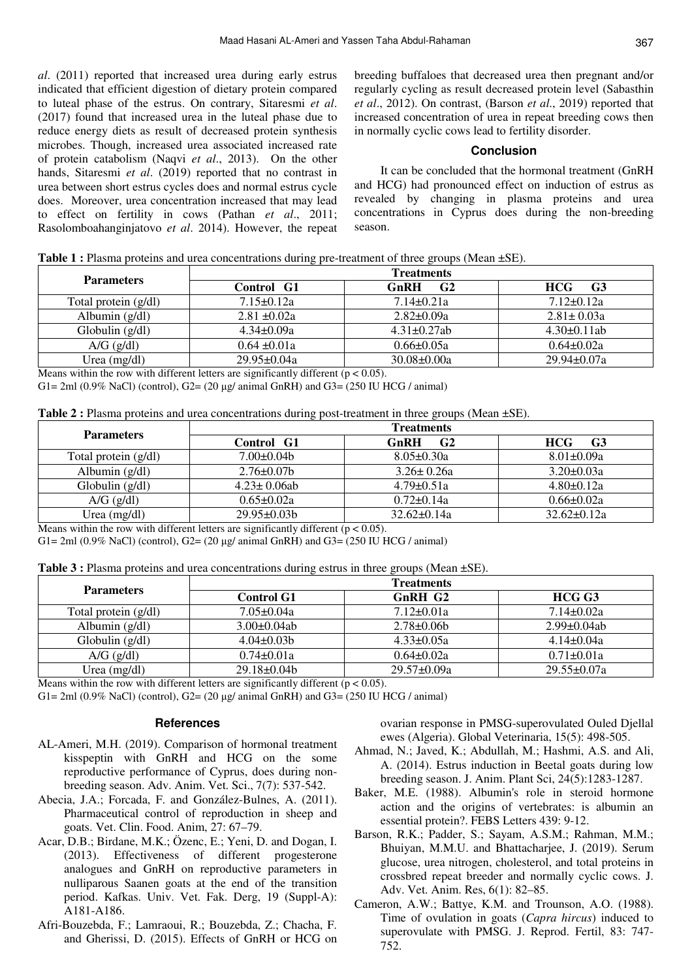*al*. (2011) reported that increased urea during early estrus indicated that efficient digestion of dietary protein compared to luteal phase of the estrus. On contrary, Sitaresmi *et al*. (2017) found that increased urea in the luteal phase due to reduce energy diets as result of decreased protein synthesis microbes. Though, increased urea associated increased rate of protein catabolism (Naqvi *et al*., 2013). On the other hands, Sitaresmi *et al*. (2019) reported that no contrast in urea between short estrus cycles does and normal estrus cycle does. Moreover, urea concentration increased that may lead to effect on fertility in cows (Pathan *et al*., 2011; Rasolomboahanginjatovo *et al*. 2014). However, the repeat breeding buffaloes that decreased urea then pregnant and/or regularly cycling as result decreased protein level (Sabasthin *et al*., 2012). On contrast, (Barson *et al*., 2019) reported that increased concentration of urea in repeat breeding cows then in normally cyclic cows lead to fertility disorder.

# **Conclusion**

It can be concluded that the hormonal treatment (GnRH and HCG) had pronounced effect on induction of estrus as revealed by changing in plasma proteins and urea concentrations in Cyprus does during the non-breeding season.

|  | Table 1 : Plasma proteins and urea concentrations during pre-treatment of three groups (Mean ±SE). |  |
|--|----------------------------------------------------------------------------------------------------|--|
|  |                                                                                                    |  |

| <b>Parameters</b>    | <b>Treatments</b> |                        |                              |  |
|----------------------|-------------------|------------------------|------------------------------|--|
|                      | Control G1        | G <sub>2</sub><br>GnRH | G <sub>3</sub><br><b>HCG</b> |  |
| Total protein (g/dl) | $7.15 \pm 0.12a$  | $7.14 \pm 0.21a$       | $7.12\pm0.12a$               |  |
| Albumin $(g/dl)$     | $2.81 \pm 0.02a$  | $2.82 \pm 0.09a$       | $2.81 \pm 0.03a$             |  |
| Globulin $(g/dl)$    | $4.34\pm0.09a$    | $4.31 \pm 0.27$ ab     | $4.30\pm0.11ab$              |  |
| $A/G$ (g/dl)         | $0.64 \pm 0.01a$  | $0.66 \pm 0.05a$       | $0.64 \pm 0.02a$             |  |
| Urea (mg/dl)         | 29.95±0.04a       | $30.08 \pm 0.00a$      | $29.94 \pm 0.07a$            |  |

Means within the row with different letters are significantly different ( $p < 0.05$ ).

G1= 2ml (0.9% NaCl) (control), G2= (20  $\mu$ g/ animal GnRH) and G3= (250 IU HCG / animal)

**Table 2 :** Plasma proteins and urea concentrations during post-treatment in three groups (Mean ±SE).

| <b>Parameters</b>    | <b>Treatments</b>  |                        |                              |  |
|----------------------|--------------------|------------------------|------------------------------|--|
|                      | Control G1         | G <sub>2</sub><br>GnRH | G <sub>3</sub><br><b>HCG</b> |  |
| Total protein (g/dl) | $7.00\pm0.04b$     | $8.05 \pm 0.30a$       | $8.01 \pm 0.09a$             |  |
| Albumin $(g/dl)$     | $2.76 \pm 0.07$ b  | $3.26 \pm 0.26a$       | $3.20 \pm 0.03a$             |  |
| Globulin $(g/dl)$    | $4.23 \pm 0.06$ ab | $4.79 \pm 0.51a$       | $4.80 \pm 0.12a$             |  |
| $A/G$ (g/dl)         | $0.65 \pm 0.02a$   | $0.72 \pm 0.14a$       | $0.66 \pm 0.02a$             |  |
| Urea (mg/dl)         | $29.95 \pm 0.03 b$ | $32.62 \pm 0.14a$      | $32.62 \pm 0.12a$            |  |
|                      |                    |                        |                              |  |

Means within the row with different letters are significantly different ( $p < 0.05$ ).

 $G1 = 2ml (0.9% NaCl) (control), G2 = (20 µg/ animal GnRH) and G3 = (250 IU HCG / animal)$ 

|  |  | Table 3 : Plasma proteins and urea concentrations during estrus in three groups (Mean ±SE). |
|--|--|---------------------------------------------------------------------------------------------|
|  |  |                                                                                             |

| <b>Parameters</b>    | <b>Treatments</b>  |                   |                  |  |
|----------------------|--------------------|-------------------|------------------|--|
|                      | <b>Control G1</b>  | GnRH G2           | HCG G3           |  |
| Total protein (g/dl) | $7.05 \pm 0.04a$   | $7.12 \pm 0.01a$  | $7.14 \pm 0.02a$ |  |
| Albumin $(g/dl)$     | $3.00\pm0.04ab$    | $2.78 \pm 0.06$   | $2.99\pm0.04ab$  |  |
| Globulin $(g/dl)$    | $4.04\pm0.03b$     | $4.33 \pm 0.05a$  | $4.14 \pm 0.04a$ |  |
| $A/G$ (g/dl)         | $0.74 \pm 0.01a$   | $0.64 \pm 0.02a$  | $0.71 \pm 0.01a$ |  |
| Urea $(mg/dl)$       | $29.18 \pm 0.04 b$ | $29.57 \pm 0.09a$ | 29.55±0.07a      |  |

Means within the row with different letters are significantly different ( $p < 0.05$ ).

G1= 2ml (0.9% NaCl) (control), G2=  $(20 \mu g / \text{animal GnRH})$  and G3=  $(250 \text{ IU HCG } / \text{animal})$ 

#### **References**

- AL-Ameri, M.H. (2019). Comparison of hormonal treatment kisspeptin with GnRH and HCG on the some reproductive performance of Cyprus, does during nonbreeding season. Adv. Anim. Vet. Sci., 7(7): 537-542.
- Abecia, J.A.; Forcada, F. and González-Bulnes, A. (2011). Pharmaceutical control of reproduction in sheep and goats. Vet. Clin. Food. Anim, 27: 67–79.
- Acar, D.B.; Birdane, M.K.; Özenc, E.; Yeni, D. and Dogan, I. (2013). Effectiveness of different progesterone analogues and GnRH on reproductive parameters in nulliparous Saanen goats at the end of the transition period. Kafkas. Univ. Vet. Fak. Derg, 19 (Suppl-A): A181-A186.
- Afri-Bouzebda, F.; Lamraoui, R.; Bouzebda, Z.; Chacha, F. and Gherissi, D. (2015). Effects of GnRH or HCG on

ovarian response in PMSG-superovulated Ouled Djellal ewes (Algeria). Global Veterinaria, 15(5): 498-505.

- Ahmad, N.; Javed, K.; Abdullah, M.; Hashmi, A.S. and Ali, A. (2014). Estrus induction in Beetal goats during low breeding season. J. Anim. Plant Sci, 24(5):1283-1287.
- Baker, M.E. (1988). Albumin's role in steroid hormone action and the origins of vertebrates: is albumin an essential protein?. FEBS Letters 439: 9-12.
- Barson, R.K.; Padder, S.; Sayam, A.S.M.; Rahman, M.M.; Bhuiyan, M.M.U. and Bhattacharjee, J. (2019). Serum glucose, urea nitrogen, cholesterol, and total proteins in crossbred repeat breeder and normally cyclic cows. J. Adv. Vet. Anim. Res, 6(1): 82–85.
- Cameron, A.W.; Battye, K.M. and Trounson, A.O. (1988). Time of ovulation in goats (*Capra hircus*) induced to superovulate with PMSG. J. Reprod. Fertil, 83: 747- 752.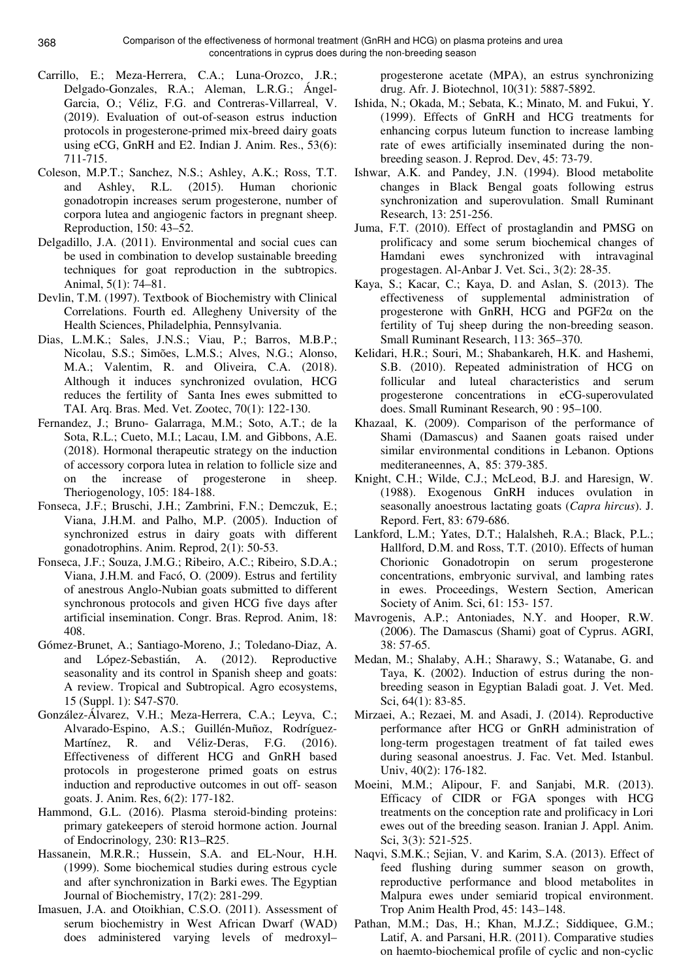- Carrillo, E.; Meza-Herrera, C.A.; Luna-Orozco, J.R.; Delgado-Gonzales, R.A.; Aleman, L.R.G.; Ángel-Garcia, O.; Véliz, F.G. and Contreras-Villarreal, V. (2019). Evaluation of out-of-season estrus induction protocols in progesterone-primed mix-breed dairy goats using eCG, GnRH and E2. Indian J. Anim. Res., 53(6): 711-715.
- Coleson, M.P.T.; Sanchez, N.S.; Ashley, A.K.; Ross, T.T. and Ashley, R.L. (2015). Human chorionic gonadotropin increases serum progesterone, number of corpora lutea and angiogenic factors in pregnant sheep. Reproduction, 150: 43–52.
- Delgadillo, J.A. (2011). Environmental and social cues can be used in combination to develop sustainable breeding techniques for goat reproduction in the subtropics. Animal, 5(1): 74–81.
- Devlin, T.M. (1997). Textbook of Biochemistry with Clinical Correlations. Fourth ed. Allegheny University of the Health Sciences, Philadelphia, Pennsylvania.
- Dias, L.M.K.; Sales, J.N.S.; Viau, P.; Barros, M.B.P.; Nicolau, S.S.; Simões, L.M.S.; Alves, N.G.; Alonso, M.A.; Valentim, R. and Oliveira, C.A. (2018). Although it induces synchronized ovulation, HCG reduces the fertility of Santa Ines ewes submitted to TAI. Arq. Bras. Med. Vet. Zootec, 70(1): 122-130.
- Fernandez, J.; Bruno- Galarraga, M.M.; Soto, A.T.; de la Sota, R.L.; Cueto, M.I.; Lacau, I.M. and Gibbons, A.E. (2018). Hormonal therapeutic strategy on the induction of accessory corpora lutea in relation to follicle size and on the increase of progesterone in sheep. Theriogenology, 105: 184-188.
- Fonseca, J.F.; Bruschi, J.H.; Zambrini, F.N.; Demczuk, E.; Viana, J.H.M. and Palho, M.P. (2005). Induction of synchronized estrus in dairy goats with different gonadotrophins. Anim. Reprod, 2(1): 50-53.
- Fonseca, J.F.; Souza, J.M.G.; Ribeiro, A.C.; Ribeiro, S.D.A.; Viana, J.H.M. and Facó, O. (2009). Estrus and fertility of anestrous Anglo-Nubian goats submitted to different synchronous protocols and given HCG five days after artificial insemination. Congr. Bras. Reprod. Anim, 18: 408.
- Gómez-Brunet, A.; Santiago-Moreno, J.; Toledano-Diaz, A. and López-Sebastián, A. (2012). Reproductive seasonality and its control in Spanish sheep and goats: A review. Tropical and Subtropical. Agro ecosystems, 15 (Suppl. 1): S47-S70.
- González-Álvarez, V.H.; Meza-Herrera, C.A.; Leyva, C.; Alvarado-Espino, A.S.; Guillén-Muñoz, Rodríguez-Martínez, R. and Véliz-Deras, F.G. (2016). Effectiveness of different HCG and GnRH based protocols in progesterone primed goats on estrus induction and reproductive outcomes in out off- season goats. J. Anim. Res, 6(2): 177-182.
- Hammond, G.L. (2016). Plasma steroid-binding proteins: primary gatekeepers of steroid hormone action. Journal of Endocrinology*,* 230: R13–R25.
- Hassanein, M.R.R.; Hussein, S.A. and EL-Nour, H.H. (1999). Some biochemical studies during estrous cycle and after synchronization in Barki ewes. The Egyptian Journal of Biochemistry, 17(2): 281-299.
- Imasuen, J.A. and Otoikhian, C.S.O. (2011). Assessment of serum biochemistry in West African Dwarf (WAD) does administered varying levels of medroxyl–

progesterone acetate (MPA), an estrus synchronizing drug. Afr. J. Biotechnol, 10(31): 5887-5892.

- Ishida, N.; Okada, M.; Sebata, K.; Minato, M. and Fukui, Y. (1999). Effects of GnRH and HCG treatments for enhancing corpus luteum function to increase lambing rate of ewes artificially inseminated during the nonbreeding season. J. Reprod. Dev, 45: 73-79.
- Ishwar, A.K. and Pandey, J.N. (1994). Blood metabolite changes in Black Bengal goats following estrus synchronization and superovulation. Small Ruminant Research, 13: 251-256.
- Juma, F.T. (2010). Effect of prostaglandin and PMSG on prolificacy and some serum biochemical changes of Hamdani ewes synchronized with intravaginal progestagen. Al-Anbar J. Vet. Sci., 3(2): 28-35.
- Kaya, S.; Kacar, C.; Kaya, D. and Aslan, S. (2013). The effectiveness of supplemental administration of progesterone with GnRH, HCG and PGF2α on the fertility of Tuj sheep during the non-breeding season. Small Ruminant Research, 113: 365–370.
- Kelidari, H.R.; Souri, M.; Shabankareh, H.K. and Hashemi, S.B. (2010). Repeated administration of HCG on follicular and luteal characteristics and serum progesterone concentrations in eCG-superovulated does. Small Ruminant Research, 90 : 95–100.
- Khazaal, K. (2009). Comparison of the performance of Shami (Damascus) and Saanen goats raised under similar environmental conditions in Lebanon. Options mediteraneennes, A, 85: 379-385.
- Knight, C.H.; Wilde, C.J.; McLeod, B.J. and Haresign, W. (1988). Exogenous GnRH induces ovulation in seasonally anoestrous lactating goats (*Capra hircus*). J. Repord. Fert, 83: 679-686.
- Lankford, L.M.; Yates, D.T.; Halalsheh, R.A.; Black, P.L.; Hallford, D.M. and Ross, T.T. (2010). Effects of human Chorionic Gonadotropin on serum progesterone concentrations, embryonic survival, and lambing rates in ewes. Proceedings, Western Section, American Society of Anim. Sci, 61: 153- 157.
- Mavrogenis, A.P.; Antoniades, N.Y. and Hooper, R.W. (2006). The Damascus (Shami) goat of Cyprus. AGRI,  $38.57 - 65$
- Medan, M.; Shalaby, A.H.; Sharawy, S.; Watanabe, G. and Taya, K. (2002). Induction of estrus during the nonbreeding season in Egyptian Baladi goat. J. Vet. Med. Sci, 64(1): 83-85.
- Mirzaei, A.; Rezaei, M. and Asadi, J. (2014). Reproductive performance after HCG or GnRH administration of long-term progestagen treatment of fat tailed ewes during seasonal anoestrus. J. Fac. Vet. Med. Istanbul. Univ, 40(2): 176-182.
- Moeini, M.M.; Alipour, F. and Sanjabi, M.R. (2013). Efficacy of CIDR or FGA sponges with HCG treatments on the conception rate and prolificacy in Lori ewes out of the breeding season. Iranian J. Appl. Anim. Sci, 3(3): 521-525.
- Naqvi, S.M.K.; Sejian, V. and Karim, S.A. (2013). Effect of feed flushing during summer season on growth, reproductive performance and blood metabolites in Malpura ewes under semiarid tropical environment. Trop Anim Health Prod, 45: 143–148.
- Pathan, M.M.; Das, H.; Khan, M.J.Z.; Siddiquee, G.M.; Latif, A. and Parsani, H.R. (2011). Comparative studies on haemto-biochemical profile of cyclic and non-cyclic